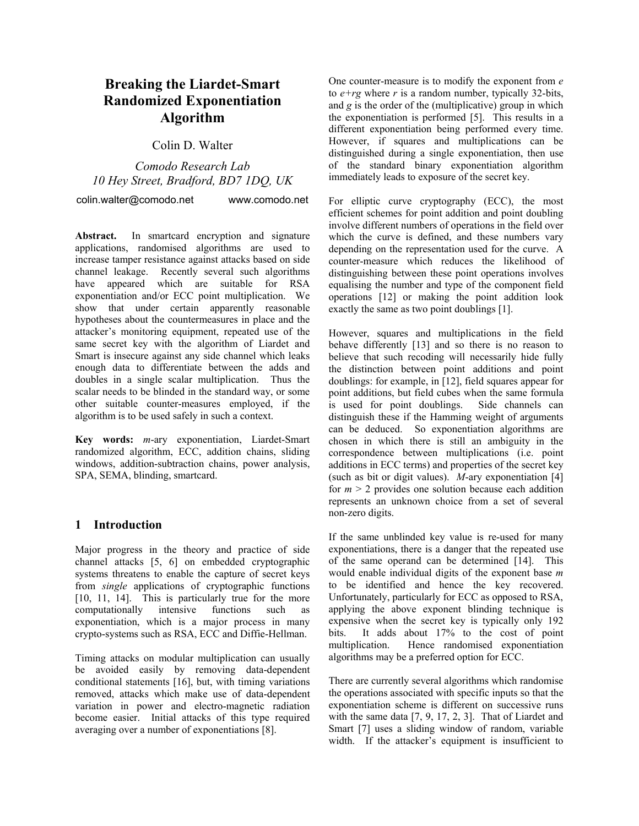# **Breaking the Liardet-Smart Randomized Exponentiation Algorithm**

Colin D. Walter

*Comodo Research Lab 10 Hey Street, Bradford, BD7 1DQ, UK* 

colin.walter@comodo.net www.comodo.net

**Abstract.** In smartcard encryption and signature applications, randomised algorithms are used to increase tamper resistance against attacks based on side channel leakage. Recently several such algorithms have appeared which are suitable for RSA exponentiation and/or ECC point multiplication. We show that under certain apparently reasonable hypotheses about the countermeasures in place and the attacker's monitoring equipment, repeated use of the same secret key with the algorithm of Liardet and Smart is insecure against any side channel which leaks enough data to differentiate between the adds and doubles in a single scalar multiplication. Thus the scalar needs to be blinded in the standard way, or some other suitable counter-measures employed, if the algorithm is to be used safely in such a context.

**Key words:** *m*-ary exponentiation, Liardet-Smart randomized algorithm, ECC, addition chains, sliding windows, addition-subtraction chains, power analysis, SPA, SEMA, blinding, smartcard.

## **1 Introduction**

Major progress in the theory and practice of side channel attacks [5, 6] on embedded cryptographic systems threatens to enable the capture of secret keys from *single* applications of cryptographic functions [10, 11, 14]. This is particularly true for the more computationally intensive functions such as exponentiation, which is a major process in many crypto-systems such as RSA, ECC and Diffie-Hellman.

Timing attacks on modular multiplication can usually be avoided easily by removing data-dependent conditional statements [16], but, with timing variations removed, attacks which make use of data-dependent variation in power and electro-magnetic radiation become easier. Initial attacks of this type required averaging over a number of exponentiations [8].

One counter-measure is to modify the exponent from *e* to  $e+rq$  where *r* is a random number, typically 32-bits, and *g* is the order of the (multiplicative) group in which the exponentiation is performed [5]. This results in a different exponentiation being performed every time. However, if squares and multiplications can be distinguished during a single exponentiation, then use of the standard binary exponentiation algorithm immediately leads to exposure of the secret key.

For elliptic curve cryptography (ECC), the most efficient schemes for point addition and point doubling involve different numbers of operations in the field over which the curve is defined, and these numbers vary depending on the representation used for the curve. A counter-measure which reduces the likelihood of distinguishing between these point operations involves equalising the number and type of the component field operations [12] or making the point addition look exactly the same as two point doublings [1].

However, squares and multiplications in the field behave differently [13] and so there is no reason to believe that such recoding will necessarily hide fully the distinction between point additions and point doublings: for example, in [12], field squares appear for point additions, but field cubes when the same formula is used for point doublings. Side channels can distinguish these if the Hamming weight of arguments can be deduced. So exponentiation algorithms are chosen in which there is still an ambiguity in the correspondence between multiplications (i.e. point additions in ECC terms) and properties of the secret key (such as bit or digit values). *M*-ary exponentiation [4] for  $m > 2$  provides one solution because each addition represents an unknown choice from a set of several non-zero digits.

 to be identified and hence the key recovered. If the same unblinded key value is re-used for many exponentiations, there is a danger that the repeated use of the same operand can be determined [14]. This would enable individual digits of the exponent base *m* Unfortunately, particularly for ECC as opposed to RSA, applying the above exponent blinding technique is expensive when the secret key is typically only 192 bits. It adds about 17% to the cost of point multiplication. Hence randomised exponentiation algorithms may be a preferred option for ECC.

There are currently several algorithms which randomise the operations associated with specific inputs so that the exponentiation scheme is different on successive runs with the same data [7, 9, 17, 2, 3]. That of Liardet and Smart [7] uses a sliding window of random, variable width. If the attacker's equipment is insufficient to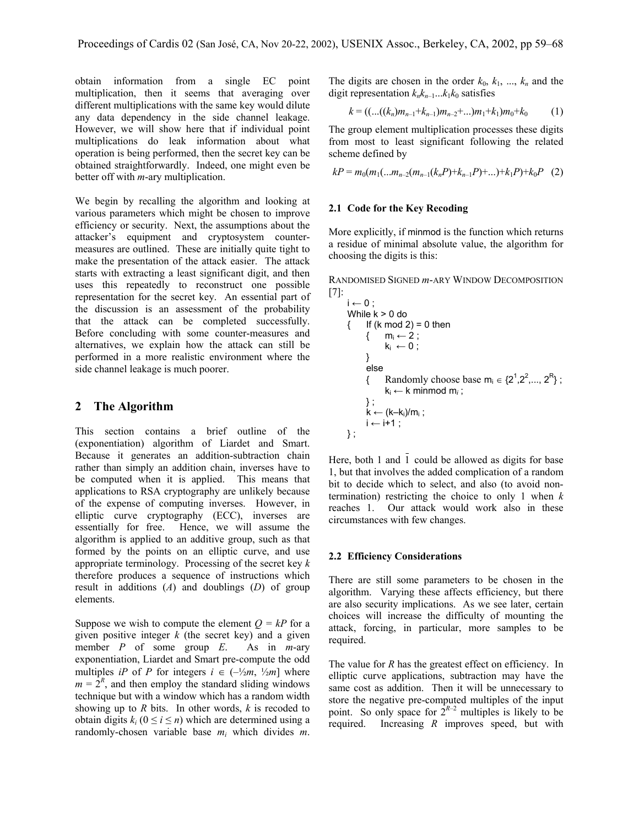obtain information from a single EC point multiplication, then it seems that averaging over different multiplications with the same key would dilute any data dependency in the side channel leakage. However, we will show here that if individual point multiplications do leak information about what operation is being performed, then the secret key can be obtained straightforwardly. Indeed, one might even be better off with *m*-ary multiplication.

We begin by recalling the algorithm and looking at various parameters which might be chosen to improve efficiency or security. Next, the assumptions about the attacker's equipment and cryptosystem countermeasures are outlined. These are initially quite tight to make the presentation of the attack easier. The attack starts with extracting a least significant digit, and then uses this repeatedly to reconstruct one possible representation for the secret key. An essential part of the discussion is an assessment of the probability that the attack can be completed successfully. Before concluding with some counter-measures and alternatives, we explain how the attack can still be performed in a more realistic environment where the side channel leakage is much poorer.

### **2 The Algorithm**

This section contains a brief outline of the (exponentiation) algorithm of Liardet and Smart. Because it generates an addition-subtraction chain rather than simply an addition chain, inverses have to be computed when it is applied. This means that applications to RSA cryptography are unlikely because of the expense of computing inverses. However, in elliptic curve cryptography (ECC), inverses are essentially for free. Hence, we will assume the algorithm is applied to an additive group, such as that formed by the points on an elliptic curve, and use appropriate terminology. Processing of the secret key *k* therefore produces a sequence of instructions which result in additions (*A*) and doublings (*D*) of group elements.

Suppose we wish to compute the element  $Q = kP$  for a given positive integer *k* (the secret key) and a given member *P* of some group *E*. As in *m*-ary exponentiation, Liardet and Smart pre-compute the odd multiples *iP* of *P* for integers  $i \in (-\frac{1}{2}m, \frac{1}{2}m]$  where  $m = 2<sup>R</sup>$ , and then employ the standard sliding windows technique but with a window which has a random width showing up to *R* bits. In other words, *k* is recoded to obtain digits  $k_i$  ( $0 \le i \le n$ ) which are determined using a randomly-chosen variable base *mi* which divides *m*.

The digits are chosen in the order  $k_0$ ,  $k_1$ , ...,  $k_n$  and the digit representation  $k_n k_{n-1} \dots k_1 k_0$  satisfies

$$
k = ((...(k_n)m_{n-1}+k_{n-1})m_{n-2}+...m_1+k_1)m_0+k_0
$$
 (1)

The group element multiplication processes these digits from most to least significant following the related scheme defined by

$$
kP = m_0(m_1(...m_{n-2}(m_{n-1}(k_nP)+k_{n-1}P)+...)+k_1P)+k_0P
$$
 (2)

#### **2.1 Code for the Key Recoding**

More explicitly, if minmod is the function which returns a residue of minimal absolute value, the algorithm for choosing the digits is this:

RANDOMISED SIGNED *m*-ARY WINDOW DECOMPOSITION [7]:

$$
i \leftarrow 0 ;
$$
\nWhile k > 0 do\n{ If (k mod 2) = 0 then\n { m<sub>i</sub> ← 2 ;\n k<sub>i</sub> ← 0 ;\n } \n else\n { Randomly choose base m<sub>i</sub> ∈ {2<sup>1</sup>,2<sup>2</sup>,..., 2<sup>R</sup>} ;\n k<sub>i</sub> ← k minmod m<sub>i</sub> ;\n } \n} \n{ k ← (k-k<sub>i</sub>)/m<sub>i</sub> ;\n i ← i+1 ;\n}

Here, both 1 and 1 could be allowed as digits for base 1, but that involves the added complication of a random bit to decide which to select, and also (to avoid nontermination) restricting the choice to only 1 when *k* reaches 1. Our attack would work also in these circumstances with few changes.

#### **2.2 Efficiency Considerations**

There are still some parameters to be chosen in the algorithm. Varying these affects efficiency, but there are also security implications. As we see later, certain choices will increase the difficulty of mounting the attack, forcing, in particular, more samples to be required.

The value for *R* has the greatest effect on efficiency. In elliptic curve applications, subtraction may have the same cost as addition. Then it will be unnecessary to store the negative pre-computed multiples of the input point. So only space for  $2^{R-2}$  multiples is likely to be required. Increasing *R* improves speed, but with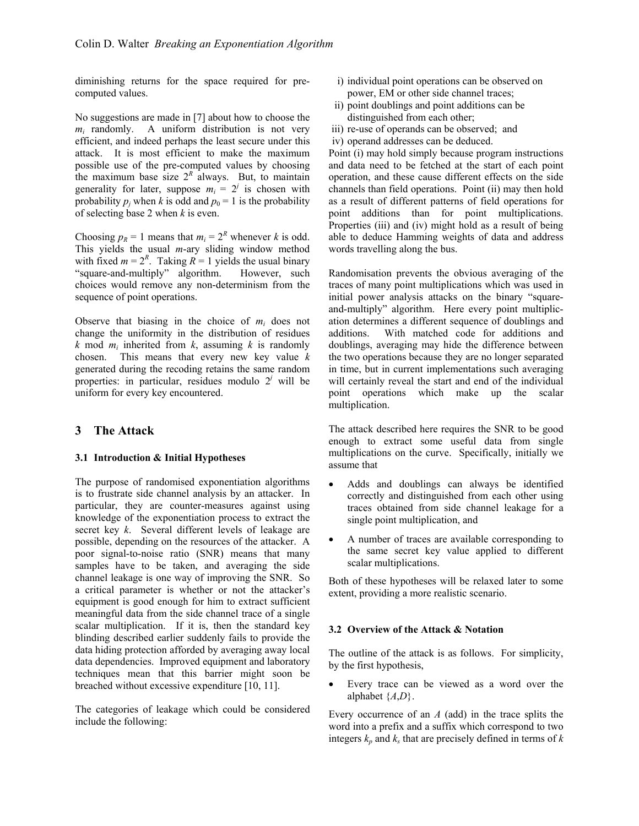diminishing returns for the space required for precomputed values.

No suggestions are made in [7] about how to choose the  $m_i$  randomly. A uniform distribution is not very efficient, and indeed perhaps the least secure under this attack. It is most efficient to make the maximum possible use of the pre-computed values by choosing the maximum base size  $2^R$  always. But, to maintain generality for later, suppose  $m_i = 2^j$  is chosen with probability  $p_i$  when k is odd and  $p_0 = 1$  is the probability of selecting base 2 when *k* is even.

Choosing  $p_R = 1$  means that  $m_i = 2^R$  whenever *k* is odd. This yields the usual *m*-ary sliding window method with fixed  $m = 2^R$ . Taking  $R = 1$  yields the usual binary "square-and-multiply" algorithm. However, such choices would remove any non-determinism from the sequence of point operations.

Observe that biasing in the choice of  $m_i$  does not change the uniformity in the distribution of residues  $k \text{ mod } m_i$  inherited from  $k$ , assuming  $k$  is randomly chosen. This means that every new key value *k* generated during the recoding retains the same random properties: in particular, residues modulo  $2<sup>j</sup>$  will be uniform for every key encountered.

### **3 The Attack**

#### **3.1 Introduction & Initial Hypotheses**

The purpose of randomised exponentiation algorithms is to frustrate side channel analysis by an attacker. In particular, they are counter-measures against using knowledge of the exponentiation process to extract the secret key *k*. Several different levels of leakage are possible, depending on the resources of the attacker. A poor signal-to-noise ratio (SNR) means that many samples have to be taken, and averaging the side channel leakage is one way of improving the SNR. So a critical parameter is whether or not the attacker's equipment is good enough for him to extract sufficient meaningful data from the side channel trace of a single scalar multiplication. If it is, then the standard key blinding described earlier suddenly fails to provide the data hiding protection afforded by averaging away local data dependencies. Improved equipment and laboratory techniques mean that this barrier might soon be breached without excessive expenditure [10, 11].

The categories of leakage which could be considered include the following:

- i) individual point operations can be observed on power, EM or other side channel traces;
- ii) point doublings and point additions can be distinguished from each other;
- iii) re-use of operands can be observed; and
- iv) operand addresses can be deduced.

Point (i) may hold simply because program instructions and data need to be fetched at the start of each point operation, and these cause different effects on the side channels than field operations. Point (ii) may then hold as a result of different patterns of field operations for point additions than for point multiplications. Properties (iii) and (iv) might hold as a result of being able to deduce Hamming weights of data and address words travelling along the bus.

additions. Randomisation prevents the obvious averaging of the traces of many point multiplications which was used in initial power analysis attacks on the binary "squareand-multiply" algorithm. Here every point multiplication determines a different sequence of doublings and With matched code for additions and doublings, averaging may hide the difference between the two operations because they are no longer separated in time, but in current implementations such averaging will certainly reveal the start and end of the individual point operations which make up the scalar multiplication.

The attack described here requires the SNR to be good enough to extract some useful data from single multiplications on the curve. Specifically, initially we assume that

- Adds and doublings can always be identified correctly and distinguished from each other using traces obtained from side channel leakage for a single point multiplication, and
- A number of traces are available corresponding to the same secret key value applied to different scalar multiplications.

Both of these hypotheses will be relaxed later to some extent, providing a more realistic scenario.

#### **3.2 Overview of the Attack & Notation**

The outline of the attack is as follows. For simplicity, by the first hypothesis,

Every trace can be viewed as a word over the alphabet {*A*,*D*}.

Every occurrence of an *A* (add) in the trace splits the word into a prefix and a suffix which correspond to two integers  $k_p$  and  $k_s$  that are precisely defined in terms of  $k$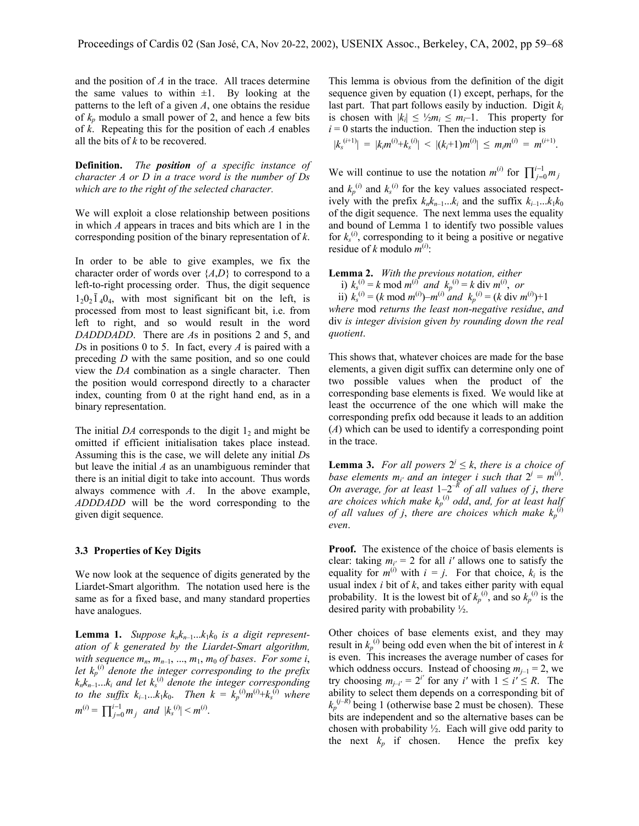and the position of *A* in the trace. All traces determine the same values to within  $\pm 1$ . By looking at the patterns to the left of a given *A*, one obtains the residue of  $k_p$  modulo a small power of 2, and hence a few bits of *k*. Repeating this for the position of each *A* enables all the bits of *k* to be recovered.

**Definition.** *The position of a specific instance of character A or D in a trace word is the number of Ds which are to the right of the selected character.* 

We will exploit a close relationship between positions in which *A* appears in traces and bits which are 1 in the corresponding position of the binary representation of *k*.

In order to be able to give examples, we fix the character order of words over {*A*,*D*} to correspond to a left-to-right processing order. Thus, the digit sequence  $1_20_2\overline{1}_40_4$ , with most significant bit on the left, is processed from most to least significant bit, i.e. from left to right, and so would result in the word *DADDDADD*. There are *A*s in positions 2 and 5, and *D*s in positions 0 to 5. In fact, every *A* is paired with a preceding *D* with the same position, and so one could view the *DA* combination as a single character. Then the position would correspond directly to a character index, counting from 0 at the right hand end, as in a binary representation.

The initial *DA* corresponds to the digit  $1<sub>2</sub>$  and might be omitted if efficient initialisation takes place instead. Assuming this is the case, we will delete any initial *D*s but leave the initial *A* as an unambiguous reminder that there is an initial digit to take into account. Thus words always commence with *A*. In the above example, *ADDDADD* will be the word corresponding to the given digit sequence.

#### **3.3 Properties of Key Digits**

We now look at the sequence of digits generated by the Liardet-Smart algorithm. The notation used here is the same as for a fixed base, and many standard properties have analogues.

**Lemma 1.** *Suppose*  $k_n k_{n-1} \dots k_1 k_0$  *is a digit representation of k generated by the Liardet-Smart algorithm, with sequence*  $m_n$ ,  $m_{n-1}$ , ...,  $m_1$ ,  $m_0$  *of bases. For some i*, let  $k_p^{(i)}$  *denote the integer corresponding to the prefix knkn*–1...*ki and let ks* (*i*) *denote the integer corresponding to the suffix*  $k_{i-1}...k_{1}k_{0}$ . *Then*  $k = k_{p}^{(i)}m^{(i)}+k_{s}^{(i)}$  where  $m^{(i)} = \prod_{j=0}^{i-1} m_j$  and  $|k|$ 0  $\sum_{j=0}^{i-1} m_j$  *and*  $|k_s^{(i)}| < m^{(i)}$ .

This lemma is obvious from the definition of the digit sequence given by equation (1) except, perhaps, for the last part. That part follows easily by induction. Digit  $k_i$ is chosen with  $|k_i| \leq \frac{1}{2}m_i \leq m_i-1$ . This property for  $i = 0$  starts the induction. Then the induction step is  $|k_s^{(i+1)}| = |k_i m^{(i)} + k_s^{(i)}| < |(k_i+1)m^{(i)}| \le m_i m^{(i)} = m^{(i+1)}.$ 

We will continue to use the notation  $m^{(i)}$  for  $\prod_{j=1}^{i-1}$ and  $k_p$ <sup>(*i*)</sup> and  $k_s$ <sup>(*i*)</sup> for the key values associated respect-1 0 *i <sup>j</sup> m <sup>j</sup>* ively with the prefix  $k_n k_{n-1} \dots k_i$  and the suffix  $k_{i-1} \dots k_1 k_0$ of the digit sequence. The next lemma uses the equality and bound of Lemma 1 to identify two possible values for  $k_s^{(i)}$ , corresponding to it being a positive or negative residue of *k* modulo  $m^{(i)}$ :

**Lemma 2.** *With the previous notation, either*  i)  $k_s^{(i)} = k \mod m^{(i)}$  and  $k_p^{(i)} = k \text{ div } m^{(i)}$ , or ii)  $k_s^{(i)} = (k \mod m^{(i)}) - m^{(i)} \mod k_p^{(i)} = (k \text{ div } m^{(i)}) + 1$ *where* mod *returns the least non-negative residue*, *and* div *is integer division given by rounding down the real quotient*.

This shows that, whatever choices are made for the base elements, a given digit suffix can determine only one of two possible values when the product of the corresponding base elements is fixed. We would like at least the occurrence of the one which will make the corresponding prefix odd because it leads to an addition (*A*) which can be used to identify a corresponding point in the trace.

**Lemma 3.** For all powers  $2^{j} \leq k$ , there is a choice of *base elements*  $m_i$  *and an integer i such that*  $2^j = m^{(i)}$ . *On average, for at least* 1–2*–R of all values of j*, *there are choices which make kp* (*i*) *odd*, *and, for at least half of all values of j, there are choices which make*  $k_p^{(i)}$ *even*.

**Proof.** The existence of the choice of basis elements is clear: taking  $m_{i'} = 2$  for all *i'* allows one to satisfy the equality for  $m^{(i)}$  with  $i = j$ . For that choice,  $k_i$  is the usual index *i* bit of *k*, and takes either parity with equal probability. It is the lowest bit of  $k_p^{(i)}$ , and so  $k_p^{(i)}$  is the desired parity with probability ½.

Other choices of base elements exist, and they may result in  $k_p$ <sup>(*i*</sup>) being odd even when the bit of interest in *k* is even. This increases the average number of cases for which oddness occurs. Instead of choosing  $m_{i-1} = 2$ , we try choosing  $m_{j-i'} = 2^{i'}$  for any *i'* with  $1 \le i' \le R$ . The ability to select them depends on a corresponding bit of  $k_p^{(j-R)}$  being 1 (otherwise base 2 must be chosen). These bits are independent and so the alternative bases can be chosen with probability  $\frac{1}{2}$ . Each will give odd parity to the next  $k_p$  if chosen. Hence the prefix key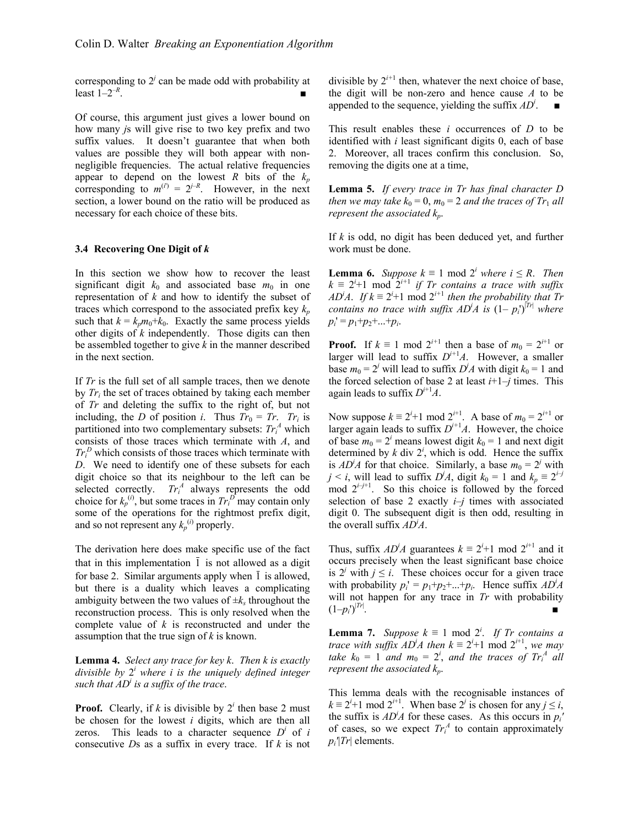corresponding to  $2<sup>j</sup>$  can be made odd with probability at least  $1 - 2^{-R}$ .

Of course, this argument just gives a lower bound on how many *j*s will give rise to two key prefix and two suffix values. It doesn't guarantee that when both values are possible they will both appear with nonnegligible frequencies. The actual relative frequencies appear to depend on the lowest *R* bits of the  $k_p$ corresponding to  $m^{(i)} = 2^{j-R}$ . However, in the next section, a lower bound on the ratio will be produced as necessary for each choice of these bits.

#### **3.4 Recovering One Digit of** *k*

In this section we show how to recover the least significant digit  $k_0$  and associated base  $m_0$  in one representation of *k* and how to identify the subset of traces which correspond to the associated prefix key  $k_p$ such that  $k = k_p m_0 + k_0$ . Exactly the same process yields other digits of *k* independently. Those digits can then be assembled together to give *k* in the manner described in the next section.

If *Tr* is the full set of all sample traces, then we denote by *Tri* the set of traces obtained by taking each member of *Tr* and deleting the suffix to the right of, but not including, the *D* of position *i*. Thus  $Tr_0 = Tr$ .  $Tr_i$  is partitioned into two complementary subsets:  $Tr_i^A$  which consists of those traces which terminate with *A*, and  $Tr_i^D$  which consists of those traces which terminate with *D*. We need to identify one of these subsets for each digit choice so that its neighbour to the left can be selected correctly.  $Tr_i^A$  always represents the odd choice for  $k_p^{(i)}$ , but some traces in  $Tr_i^D$  may contain only some of the operations for the rightmost prefix digit, and so not represent any  $k_p^{(i)}$  properly.

The derivation here does make specific use of the fact that in this implementation  $\overline{1}$  is not allowed as a digit for base 2. Similar arguments apply when  $\overline{1}$  is allowed, but there is a duality which leaves a complicating ambiguity between the two values of  $\pm k_s$  throughout the reconstruction process. This is only resolved when the complete value of *k* is reconstructed and under the assumption that the true sign of *k* is known.

**Lemma 4.** *Select any trace for key k*. *Then k is exactly divisible by* 2*<sup>i</sup> where i is the uniquely defined integer such that ADi is a suffix of the trace*.

**Proof.** Clearly, if *k* is divisible by  $2^{i}$  then base 2 must be chosen for the lowest *i* digits, which are then all zeros. This leads to a character sequence  $D^i$  of *i* consecutive *D*s as a suffix in every trace. If *k* is not

divisible by  $2^{i+1}$  then, whatever the next choice of base, the digit will be non-zero and hence cause *A* to be appended to the sequence, yielding the suffix  $AD^i$ .

This result enables these *i* occurrences of *D* to be identified with *i* least significant digits 0, each of base 2. Moreover, all traces confirm this conclusion. So, removing the digits one at a time,

**Lemma 5.** *If every trace in Tr has final character D then we may take*  $k_0 = 0$ ,  $m_0 = 2$  *and the traces of*  $Tr_1$  *all represent the associated*  $k_n$ .

If *k* is odd, no digit has been deduced yet, and further work must be done.

**Lemma 6.** *Suppose*  $k \equiv 1 \mod 2^i$  *where*  $i \leq R$ *. Then*  $k \equiv 2^{i+1}$  mod  $2^{i+1}$  *if Tr contains a trace with suffix AD<sup><i>i*</sup>A. If  $k \equiv 2^{i+1}$  mod  $2^{i+1}$  then the probability that Tr *contains no trace with suffix*  $AD^iA$  *is*  $(1-p_i^{\prime})^{|Tr|}$  where  $p_i' = p_1 + p_2 + ... + p_i$ .

**Proof.** If  $k \equiv 1 \mod 2^{i+1}$  then a base of  $m_0 = 2^{i+1}$  or larger will lead to suffix  $D^{i+1}A$ . However, a smaller base  $m_0 = 2^j$  will lead to suffix  $D^j A$  with digit  $k_0 = 1$  and the forced selection of base 2 at least  $i+1-j$  times. This again leads to suffix  $D^{i+1}A$ .

Now suppose  $k \equiv 2^{i+1} \mod 2^{i+1}$ . A base of  $m_0 = 2^{i+1}$  or larger again leads to suffix  $D^{i+1}A$ . However, the choice of base  $m_0 = 2^i$  means lowest digit  $k_0 = 1$  and next digit determined by  $k$  div  $2^i$ , which is odd. Hence the suffix is  $AD^iA$  for that choice. Similarly, a base  $m_0 = 2^j$  with *j* < *i*, will lead to suffix *D<sup>j</sup>A*, digit  $k_0 = 1$  and  $k_p \equiv 2^{i-j}$ mod  $2^{i-j+1}$ . So this choice is followed by the forced selection of base 2 exactly  $i-j$  times with associated digit 0. The subsequent digit is then odd, resulting in the overall suffix *AD<sup>i</sup> A*.

Thus, suffix  $AD^iA$  guarantees  $k \equiv 2^i+1 \mod 2^{i+1}$  and it occurs precisely when the least significant base choice is  $2^j$  with  $j \le i$ . These choices occur for a given trace with probability  $p_i' = p_1 + p_2 + ... + p_i$ . Hence suffix  $AD^iA$ will not happen for any trace in *Tr* with probability  $(1-p_i')^{|Tr|}$ . . ■

**Lemma 7.** *Suppose*  $k \equiv 1 \mod 2^i$ . *If Tr contains a trace with suffix AD<sup><i>i*</sup>A then  $k \equiv 2^{i+1}$  mod  $2^{i+1}$ , *we may take*  $k_0 = 1$  *and*  $m_0 = 2^i$ , *and* the traces of  $Tr_i^A$  all *represent the associated kp*.

This lemma deals with the recognisable instances of  $k \equiv 2^{i+1}$  mod  $2^{i+1}$ . When base  $2^{i}$  is chosen for any  $j \leq i$ , the suffix is  $AD^iA$  for these cases. As this occurs in  $p_i'$ of cases, so we expect  $Tr_i^A$  to contain approximately *pi'*|*Tr*| elements.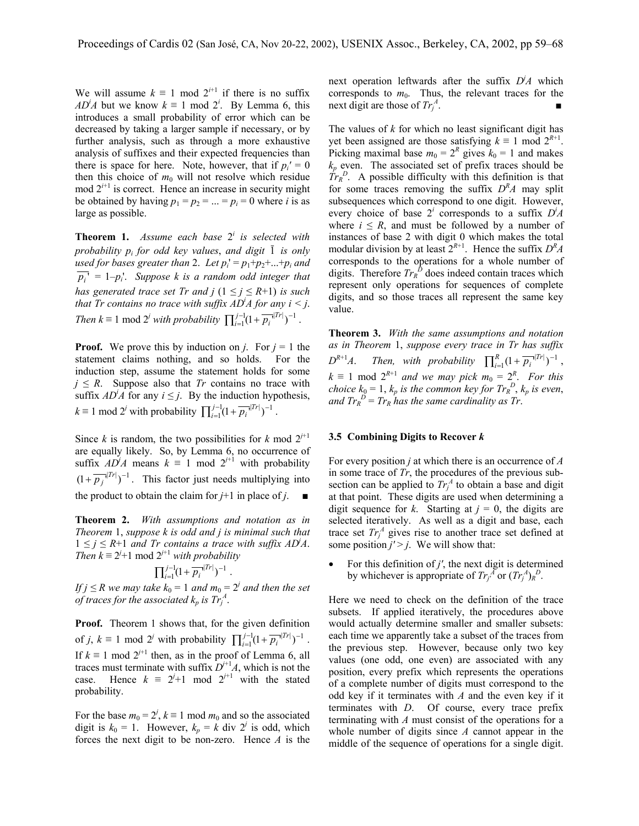We will assume  $k \equiv 1 \mod 2^{i+1}$  if there is no suffix *AD<sup>i</sup>A* but we know  $k \equiv 1 \mod 2^i$ . By Lemma 6, this introduces a small probability of error which can be decreased by taking a larger sample if necessary, or by further analysis, such as through a more exhaustive analysis of suffixes and their expected frequencies than there is space for here. Note, however, that if  $p_i' = 0$ then this choice of  $m_0$  will not resolve which residue mod  $2^{i+1}$  is correct. Hence an increase in security might be obtained by having  $p_1 = p_2 = ... = p_i = 0$  where *i* is as large as possible.

**Theorem 1.** *Assume each base* 2*<sup>i</sup> is selected with probability*  $p_i$  *for odd key values, and digit*  $\overline{1}$  *is only used for bases greater than 2. Let*  $p_i' = p_1 + p_2 + ... + p_i$  *and*  $\overline{p_i'} = 1-p_i'$ . *Suppose k is a random odd integer that has generated trace set Tr and*  $j$   $(1 \leq j \leq R+1)$  *is such that Tr contains no trace with suffix*  $AD^iA$  *for any*  $i < j$ *. Then*  $k \equiv 1 \mod 2^j$  *with probability*  $\prod_{i=1}^{j-1} (1 + \overline{p_i}^{j}|^{Tr})^{-1}$ .  $\overline{p_i}$ <sup> $|Tr$ </sup>

**Proof.** We prove this by induction on *j*. For  $j = 1$  the statement claims nothing, and so holds. For the induction step, assume the statement holds for some  $j \leq R$ . Suppose also that *Tr* contains no trace with suffix  $AD^i\vec{A}$  for any  $i \leq j$ . By the induction hypothesis,  $k \equiv 1 \mod 2^j$  with probability  $\prod_{i=1}^{j-1} (1 + \overline{p_i}^{1}|T^r|)^{-1}$  $\overline{p_i}^{|Tr|})^{-1}$ .

Since *k* is random, the two possibilities for *k* mod  $2^{j+1}$ are equally likely. So, by Lemma 6, no occurrence of suffix  $AD^jA$  means  $k \equiv 1 \mod 2^{j+1}$  with probability  $(1 + \overline{p_j}^{\vert Tr \vert})^{-1}$ . This factor just needs multiplying into the product to obtain the claim for  $j+1$  in place of  $j$ .

**Theorem 2.** *With assumptions and notation as in Theorem* 1, *suppose k is odd and j is minimal such that*  $1 \leq j \leq R+1$  *and Tr contains a trace with suffix ADA*. *Then*  $k \equiv 2^{j+1}$  mod  $2^{j+1}$  *with probability* 

$$
{\prod}_{i=1}^{j-1}(1+{\overline{p_i}}^{\bullet|Tr|})^{-1}\ .
$$

*If*  $j \leq R$  we may take  $k_0 = 1$  and  $m_0 = 2^j$  and then the set *of traces for the associated*  $k_p$  *is*  $Tr_j^A$ .

**Proof.** Theorem 1 shows that, for the given definition of *j*,  $k \equiv 1 \mod 2^j$  with probability  $\prod_{i=1}^{j-1} (1 + \overline{p_i}^{1/|T^*|})^{-1}$  $\overline{p_i}^{|Tr|})^{-1}$ . If  $k \equiv 1 \mod 2^{j+1}$  then, as in the proof of Lemma 6, all traces must terminate with suffix  $D^{+1}A$ , which is not the case. Hence  $k \equiv 2^{j+1} \mod 2^{j+1}$  with the stated probability.

For the base  $m_0 = 2^j$ ,  $k \equiv 1 \mod m_0$  and so the associated digit is  $k_0 = 1$ . However,  $k_p = k$  div  $2^j$  is odd, which forces the next digit to be non-zero. Hence *A* is the

next operation leftwards after the suffix *D<sup>j</sup> A* which corresponds to  $m_0$ . Thus, the relevant traces for the next digit are those of  $Tr_j^A$ . ■

The values of *k* for which no least significant digit has yet been assigned are those satisfying  $k \equiv 1 \text{ mod } 2^{R+1}$ . Picking maximal base  $m_0 = 2^R$  gives  $k_0 = 1$  and makes  $k_p$  even. The associated set of prefix traces should be  $Tr_R^D$ . A possible difficulty with this definition is that for some traces removing the suffix  $D<sup>R</sup>A$  may split subsequences which correspond to one digit. However, every choice of base  $2^i$  corresponds to a suffix  $D^i A$ where  $i \leq R$ , and must be followed by a number of instances of base 2 with digit 0 which makes the total modular division by at least  $2^{R+1}$ . Hence the suffix  $D^R A$ corresponds to the operations for a whole number of digits. Therefore  $Tr_R^{\bar{D}}$  does indeed contain traces which represent only operations for sequences of complete digits, and so those traces all represent the same key value.

**Theorem 3.** *With the same assumptions and notation as in Theorem* 1, *suppose every trace in Tr has suffix*  $D^{R+1}A$ . *Then, with probability*  $\prod_{i=1}^{R} (1 + \overline{p_i}^{r}|^{Tr})^{-1}$  $T_1(1+\overline{p_i}^{|Tr|})^{-1}$ ,  $k \equiv 1 \mod 2^{R+1}$  *and we may pick*  $m_0 = 2^R$ . *For this choice*  $k_0 = 1$ ,  $k_p$  *is the common key for*  $Tr_R^D$ ,  $k_p$  *is even*, and  $Tr_R^D = Tr_R$  has the same cardinality as  $Tr$ .

#### **3.5 Combining Digits to Recover** *k*

For every position *j* at which there is an occurrence of *A* in some trace of *Tr*, the procedures of the previous subsection can be applied to  $Tr_j^A$  to obtain a base and digit at that point. These digits are used when determining a digit sequence for *k*. Starting at  $j = 0$ , the digits are selected iteratively. As well as a digit and base, each trace set  $Tr_j^A$  gives rise to another trace set defined at some position  $j'$  >  $j$ . We will show that:

• For this definition of  $j'$ , the next digit is determined by whichever is appropriate of  $Tr_j^A$  or  $(Tr_j^A)_R^D$ .

Here we need to check on the definition of the trace subsets. If applied iteratively, the procedures above would actually determine smaller and smaller subsets: each time we apparently take a subset of the traces from the previous step. However, because only two key values (one odd, one even) are associated with any position, every prefix which represents the operations of a complete number of digits must correspond to the odd key if it terminates with *A* and the even key if it terminates with *D*. Of course, every trace prefix terminating with *A* must consist of the operations for a whole number of digits since *A* cannot appear in the middle of the sequence of operations for a single digit.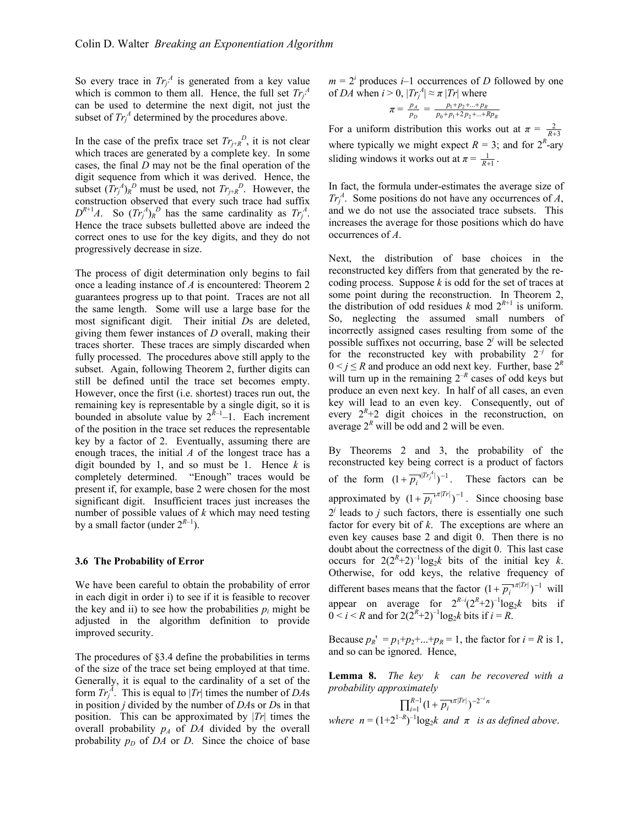So every trace in  $Tr_j^A$  is generated from a key value which is common to them all. Hence, the full set  $Tr_j^A$ can be used to determine the next digit, not just the subset of  $Tr_j^A$  determined by the procedures above.

In the case of the prefix trace set  $Tr_{j+R}^{D}$ , it is not clear which traces are generated by a complete key. In some cases, the final *D* may not be the final operation of the digit sequence from which it was derived. Hence, the subset  $(Tr_j^A)_R^D$  must be used, not  $Tr_{j+R}^D$ . However, the construction observed that every such trace had suffix  $D^{R+1}A$ . So  $(Tr_j^A)_R^D$  has the same cardinality as  $Tr_j^A$ . Hence the trace subsets bulletted above are indeed the correct ones to use for the key digits, and they do not progressively decrease in size.

The process of digit determination only begins to fail once a leading instance of *A* is encountered: Theorem 2 guarantees progress up to that point. Traces are not all the same length. Some will use a large base for the most significant digit. Their initial *D*s are deleted, giving them fewer instances of *D* overall, making their traces shorter. These traces are simply discarded when fully processed. The procedures above still apply to the subset. Again, following Theorem 2, further digits can still be defined until the trace set becomes empty. However, once the first (i.e. shortest) traces run out, the remaining key is representable by a single digit, so it is bounded in absolute value by  $2^{R-1}-1$ . Each increment of the position in the trace set reduces the representable key by a factor of 2. Eventually, assuming there are enough traces, the initial *A* of the longest trace has a digit bounded by 1, and so must be 1. Hence *k* is completely determined. "Enough" traces would be present if, for example, base 2 were chosen for the most significant digit. Insufficient traces just increases the number of possible values of *k* which may need testing by a small factor (under  $2^{R-1}$ ).

#### **3.6 The Probability of Error**

We have been careful to obtain the probability of error in each digit in order i) to see if it is feasible to recover the key and ii) to see how the probabilities  $p_i$  might be adjusted in the algorithm definition to provide improved security.

The procedures of §3.4 define the probabilities in terms of the size of the trace set being employed at that time. Generally, it is equal to the cardinality of a set of the form  $Tr_j^A$ . This is equal to  $|Tr|$  times the number of *DA*s in position *j* divided by the number of *DA*s or *D*s in that position. This can be approximated by |*Tr*| times the overall probability  $p_A$  of  $DA$  divided by the overall probability  $p_D$  of *DA* or *D*. Since the choice of base

 $m = 2<sup>i</sup>$  produces *i*–1 occurrences of *D* followed by one of *DA* when  $i > 0$ ,  $|Tr_j^A| \approx \pi |Tr|$  where

$$
\pi = \frac{p_A}{p_D} = \frac{p_1 + p_2 + \dots + p_R}{p_0 + p_1 + 2p_2 + \dots + Rp_R}
$$

For a uniform distribution this works out at  $\pi = \frac{2}{R+3}$ where typically we might expect  $R = 3$ ; and for  $2^R$ -ary sliding windows it works out at  $\pi = \frac{1}{R+1}$ .

In fact, the formula under-estimates the average size of  $Tr_j^A$ . Some positions do not have any occurrences of *A*, and we do not use the associated trace subsets. This increases the average for those positions which do have occurrences of *A*.

Next, the distribution of base choices in the reconstructed key differs from that generated by the recoding process. Suppose *k* is odd for the set of traces at some point during the reconstruction. In Theorem 2, the distribution of odd residues  $k \mod 2^{R+1}$  is uniform. So, neglecting the assumed small numbers of incorrectly assigned cases resulting from some of the possible suffixes not occurring, base  $2<sup>j</sup>$  will be selected for the reconstructed key with probability  $2^{-j}$  for  $0 \le i \le R$  and produce an odd next key. Further, base  $2^R$ will turn up in the remaining  $2^{-R}$  cases of odd keys but produce an even next key. In half of all cases, an even key will lead to an even key. Consequently, out of every  $2^R + 2$  digit choices in the reconstruction, on average  $2^R$  will be odd and 2 will be even.

By Theorems 2 and 3, the probability of the reconstructed key being correct is a product of factors of the form  $(1 + \overline{p_i}^{n|Tr_j^A|})^{-1}$ . These factors can be approximated by  $(1 + \overline{p_i}^T)^{\pi |T_r|})^{-1}$ . Since choosing base  $2<sup>j</sup>$  leads to *j* such factors, there is essentially one such factor for every bit of *k*. The exceptions are where an even key causes base 2 and digit 0. Then there is no doubt about the correctness of the digit 0. This last case occurs for  $2(2^R+2)^{-1}\log_2 k$  bits of the initial key *k*. Otherwise, for odd keys, the relative frequency of different bases means that the factor  $(1 + \overline{p_i}^{TT}|)^{-1}$  will appear on average for  $2^{R-i}(2^R+2)^{-1}\log_2 k$  bits if  $0 < i < R$  and for  $2(2^R + 2)^{-1} \log_2 k$  bits if  $i = R$ .

Because  $p_R' = p_1 + p_2 + ... + p_R = 1$ , the factor for  $i = R$  is 1, and so can be ignored. Hence,

**Lemma 8.** *The key k can be recovered with a probability approximately*

$$
\prod_{i=1}^{R-1} \bigl(1 + \overline{p_i}^{|\pi|Tr|}\bigr)^{-2^{-i}n}
$$

 $\mathbf{u} = (1+2^{1-R})^{-1} \log_2 k$  *and*  $\pi$  *is as defined above.*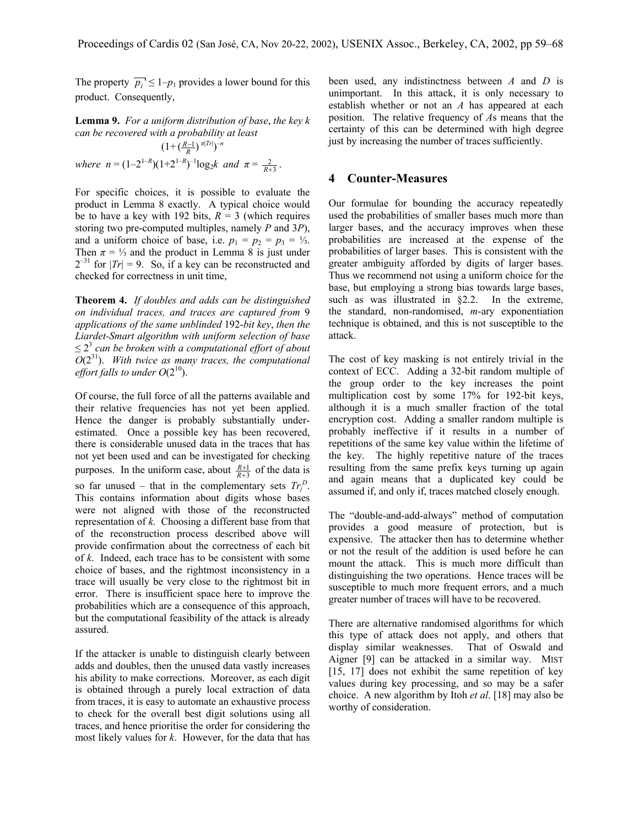The property  $\overline{p_i} \leq 1 - p_1$  provides a lower bound for this product. Consequently,

**Lemma 9.** *For a uniform distribution of base*, *the key k can be recovered with a probability at least*   $(1 + (\frac{R-1}{R})^{\pi |Tr|})^{-n}$ 

*where*  $n = (1-2^{1-R})(1+2^{1-R})^{-1}\log_2 k$  *and*  $\pi = \frac{2}{R+3}$ .

For specific choices, it is possible to evaluate the product in Lemma 8 exactly. A typical choice would be to have a key with 192 bits,  $R = 3$  (which requires storing two pre-computed multiples, namely *P* and 3*P*), and a uniform choice of base, i.e.  $p_1 = p_2 = p_3 = \frac{1}{3}$ . Then  $\pi = \frac{1}{3}$  and the product in Lemma 8 is just under  $2^{-31}$  for  $|Tr| = 9$ . So, if a key can be reconstructed and checked for correctness in unit time,

**Theorem 4.** *If doubles and adds can be distinguished on individual traces, and traces are captured from* 9 *applications of the same unblinded* 192-*bit key*, *then the Liardet-Smart algorithm with uniform selection of base*  $\leq$  2<sup>3</sup> can be broken with a computational effort of about *O*(231). *With twice as many traces, the computational effort falls to under*  $O(2^{10})$ *.* 

Of course, the full force of all the patterns available and their relative frequencies has not yet been applied. Hence the danger is probably substantially underestimated. Once a possible key has been recovered, there is considerable unused data in the traces that has not yet been used and can be investigated for checking purposes. In the uniform case, about  $\frac{R+1}{R+3}$  of the data is so far unused – that in the complementary sets  $Tr_j^D$ . This contains information about digits whose bases were not aligned with those of the reconstructed representation of *k*. Choosing a different base from that of the reconstruction process described above will provide confirmation about the correctness of each bit of *k*. Indeed, each trace has to be consistent with some choice of bases, and the rightmost inconsistency in a trace will usually be very close to the rightmost bit in error. There is insufficient space here to improve the probabilities which are a consequence of this approach, but the computational feasibility of the attack is already assured.

If the attacker is unable to distinguish clearly between adds and doubles, then the unused data vastly increases his ability to make corrections. Moreover, as each digit is obtained through a purely local extraction of data from traces, it is easy to automate an exhaustive process to check for the overall best digit solutions using all traces, and hence prioritise the order for considering the most likely values for *k*. However, for the data that has been used, any indistinctness between *A* and *D* is unimportant. In this attack, it is only necessary to establish whether or not an *A* has appeared at each position. The relative frequency of *A*s means that the certainty of this can be determined with high degree just by increasing the number of traces sufficiently.

#### **4 Counter-Measures**

Our formulae for bounding the accuracy repeatedly used the probabilities of smaller bases much more than larger bases, and the accuracy improves when these probabilities are increased at the expense of the probabilities of larger bases. This is consistent with the greater ambiguity afforded by digits of larger bases. Thus we recommend not using a uniform choice for the base, but employing a strong bias towards large bases, such as was illustrated in §2.2. In the extreme, the standard, non-randomised, *m*-ary exponentiation technique is obtained, and this is not susceptible to the attack.

The cost of key masking is not entirely trivial in the context of ECC. Adding a 32-bit random multiple of the group order to the key increases the point multiplication cost by some 17% for 192-bit keys, although it is a much smaller fraction of the total encryption cost. Adding a smaller random multiple is probably ineffective if it results in a number of repetitions of the same key value within the lifetime of the key. The highly repetitive nature of the traces resulting from the same prefix keys turning up again and again means that a duplicated key could be assumed if, and only if, traces matched closely enough.

The "double-and-add-always" method of computation provides a good measure of protection, but is expensive. The attacker then has to determine whether or not the result of the addition is used before he can mount the attack. This is much more difficult than distinguishing the two operations. Hence traces will be susceptible to much more frequent errors, and a much greater number of traces will have to be recovered.

There are alternative randomised algorithms for which this type of attack does not apply, and others that display similar weaknesses. That of Oswald and Aigner [9] can be attacked in a similar way. MIST [15, 17] does not exhibit the same repetition of key values during key processing, and so may be a safer choice. A new algorithm by Itoh *et al*. [18] may also be worthy of consideration.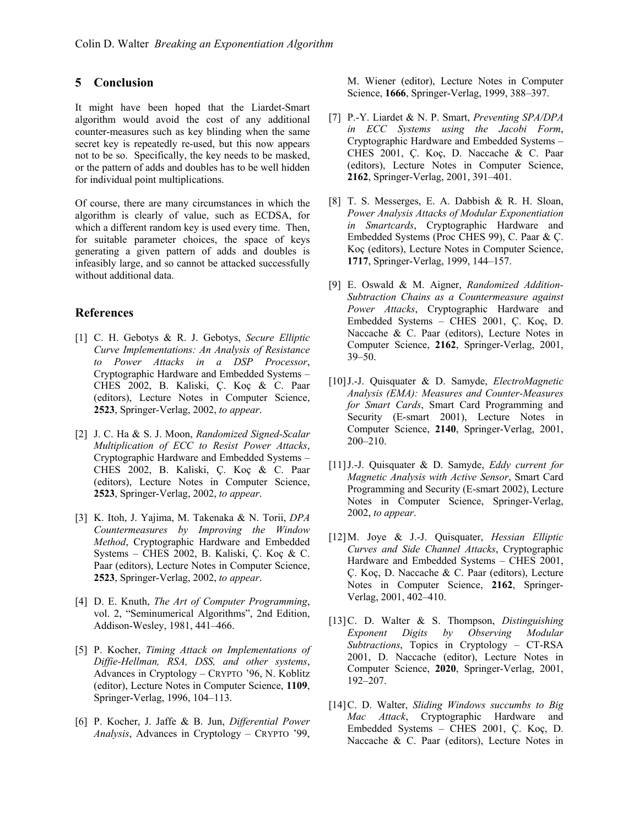## **5 Conclusion**

It might have been hoped that the Liardet-Smart algorithm would avoid the cost of any additional counter-measures such as key blinding when the same secret key is repeatedly re-used, but this now appears not to be so. Specifically, the key needs to be masked, or the pattern of adds and doubles has to be well hidden for individual point multiplications.

Of course, there are many circumstances in which the algorithm is clearly of value, such as ECDSA, for which a different random key is used every time. Then, for suitable parameter choices, the space of keys generating a given pattern of adds and doubles is infeasibly large, and so cannot be attacked successfully without additional data.

### **References**

- [1] C. H. Gebotys & R. J. Gebotys, *Secure Elliptic Curve Implementations: An Analysis of Resistance to Power Attacks in a DSP Processor*, Cryptographic Hardware and Embedded Systems – CHES 2002, B. Kaliski, Ç. Koç & C. Paar (editors), Lecture Notes in Computer Science, **2523**, Springer-Verlag, 2002, *to appear*.
- [2] J. C. Ha & S. J. Moon, *Randomized Signed-Scalar Multiplication of ECC to Resist Power Attacks*, Cryptographic Hardware and Embedded Systems – CHES 2002, B. Kaliski, Ç. Koç & C. Paar (editors), Lecture Notes in Computer Science, **2523**, Springer-Verlag, 2002, *to appear*.
- [3] K. Itoh, J. Yajima, M. Takenaka & N. Torii, *DPA Countermeasures by Improving the Window Method*, Cryptographic Hardware and Embedded Systems – CHES 2002, B. Kaliski, Ç. Koç & C. Paar (editors), Lecture Notes in Computer Science, **2523**, Springer-Verlag, 2002, *to appear*.
- [4] D. E. Knuth, *The Art of Computer Programming*, vol. 2, "Seminumerical Algorithms", 2nd Edition, Addison-Wesley, 1981, 441–466.
- [5] P. Kocher, *Timing Attack on Implementations of Diffie-Hellman, RSA, DSS, and other systems*, Advances in Cryptology – CRYPTO '96, N. Koblitz (editor), Lecture Notes in Computer Science, **1109**, Springer-Verlag, 1996, 104–113.
- [6] P. Kocher, J. Jaffe & B. Jun, *Differential Power Analysis*, Advances in Cryptology – CRYPTO '99,

M. Wiener (editor), Lecture Notes in Computer Science, **1666**, Springer-Verlag, 1999, 388–397.

- [7] P.-Y. Liardet & N. P. Smart, *Preventing SPA/DPA in ECC Systems using the Jacobi Form*, Cryptographic Hardware and Embedded Systems – CHES 2001, Ç. Koç, D. Naccache & C. Paar (editors), Lecture Notes in Computer Science, **2162**, Springer-Verlag, 2001, 391–401.
- [8] T. S. Messerges, E. A. Dabbish & R. H. Sloan, *Power Analysis Attacks of Modular Exponentiation in Smartcards*, Cryptographic Hardware and Embedded Systems (Proc CHES 99), C. Paar & Ç. Koç (editors), Lecture Notes in Computer Science, **1717**, Springer-Verlag, 1999, 144–157.
- [9] E. Oswald & M. Aigner, *Randomized Addition-Subtraction Chains as a Countermeasure against Power Attacks*, Cryptographic Hardware and Embedded Systems – CHES 2001, Ç. Koç, D. Naccache & C. Paar (editors), Lecture Notes in Computer Science, **2162**, Springer-Verlag, 2001, 39–50.
- [10]J.-J. Quisquater & D. Samyde, *ElectroMagnetic Analysis (EMA): Measures and Counter-Measures for Smart Cards*, Smart Card Programming and Security (E-smart 2001), Lecture Notes in Computer Science, **2140**, Springer-Verlag, 2001, 200–210.
- [11]J.-J. Quisquater & D. Samyde, *Eddy current for Magnetic Analysis with Active Sensor*, Smart Card Programming and Security (E-smart 2002), Lecture Notes in Computer Science, Springer-Verlag, 2002, *to appear*.
- [12]M. Joye & J.-J. Quisquater, *Hessian Elliptic Curves and Side Channel Attacks*, Cryptographic Hardware and Embedded Systems – CHES 2001, Ç. Koç, D. Naccache & C. Paar (editors), Lecture Notes in Computer Science, **2162**, Springer-Verlag, 2001, 402–410.
- [13]C. D. Walter & S. Thompson, *Distinguishing Exponent Digits by Observing Modular Subtractions*, Topics in Cryptology – CT-RSA 2001, D. Naccache (editor), Lecture Notes in Computer Science, **2020**, Springer-Verlag, 2001, 192–207.
- [14]C. D. Walter, *Sliding Windows succumbs to Big Mac Attack*, Cryptographic Hardware and Embedded Systems – CHES 2001, Ç. Koç, D. Naccache & C. Paar (editors), Lecture Notes in